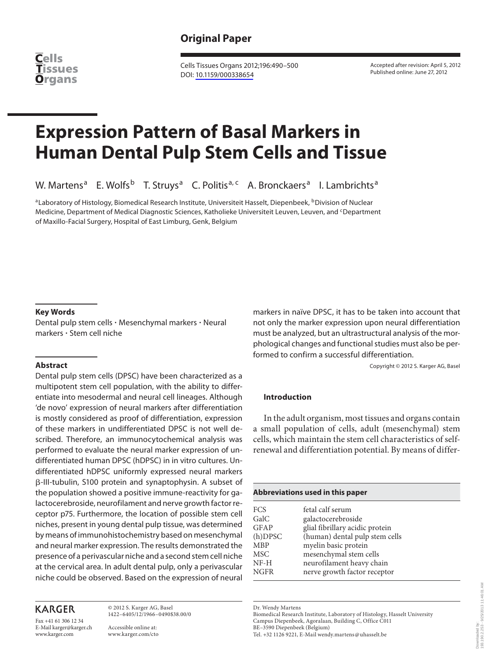# **Original Paper**



 Cells Tissues Organs 2012;196:490–500 DOI: [10.1159/000338654](http://dx.doi.org/10.1159%2F000338654)

 Accepted after revision: April 5, 2012 Published online: June 27, 2012

# **Expression Pattern of Basal Markers in Human Dental Pulp Stem Cells and Tissue**

W. Martens<sup>a</sup> E. Wolfs<sup>b</sup> T. Struys<sup>a</sup> C. Politis<sup>a, c</sup> A. Bronckaers<sup>a</sup> I. Lambrichts<sup>a</sup>

<sup>a</sup> Laboratory of Histology, Biomedical Research Institute, Universiteit Hasselt, Diepenbeek, <sup>b</sup> Division of Nuclear Medicine, Department of Medical Diagnostic Sciences, Katholieke Universiteit Leuven, Leuven, and <sup>c</sup>Department of Maxillo-Facial Surgery, Hospital of East Limburg, Genk, Belgium

#### **Key Words**

Dental pulp stem cells · Mesenchymal markers · Neural markers - Stem cell niche

#### **Abstract**

 Dental pulp stem cells (DPSC) have been characterized as a multipotent stem cell population, with the ability to differentiate into mesodermal and neural cell lineages. Although 'de novo' expression of neural markers after differentiation is mostly considered as proof of differentiation, expression of these markers in undifferentiated DPSC is not well described. Therefore, an immunocytochemical analysis was performed to evaluate the neural marker expression of undifferentiated human DPSC (hDPSC) in in vitro cultures. Undifferentiated hDPSC uniformly expressed neural markers β-III-tubulin, S100 protein and synaptophysin. A subset of the population showed a positive immune-reactivity for galactocerebroside, neurofilament and nerve growth factor receptor p75. Furthermore, the location of possible stem cell niches, present in young dental pulp tissue, was determined by means of immunohistochemistry based on mesenchymal and neural marker expression. The results demonstrated the presence of a perivascular niche and a second stem cell niche at the cervical area. In adult dental pulp, only a perivascular niche could be observed. Based on the expression of neural

# **KARGER**

Fax +41 61 306 12 34 E-Mail karger@karger.ch www.karger.com

 © 2012 S. Karger AG, Basel 1422–6405/12/1966–0490\$38.00/0

 Accessible online at: www.karger.com/cto markers in naïve DPSC, it has to be taken into account that not only the marker expression upon neural differentiation must be analyzed, but an ultrastructural analysis of the morphological changes and functional studies must also be performed to confirm a successful differentiation.

Copyright © 2012 S. Karger AG, Basel

## **Introduction**

 In the adult organism, most tissues and organs contain a small population of cells, adult (mesenchymal) stem cells, which maintain the stem cell characteristics of selfrenewal and differentiation potential. By means of differ-

#### **Abbreviations used in this paper**

Dr. Wendy Martens

Biomedical Research Institute, Laboratory of Histology, Hasselt University Campus Diepenbeek, Agoralaan, Building C, Office C011 BE–3590 Diepenbeek (Belgium)

Tel. +32 1126 9221, E-Mail wendy.martens @ uhasselt.be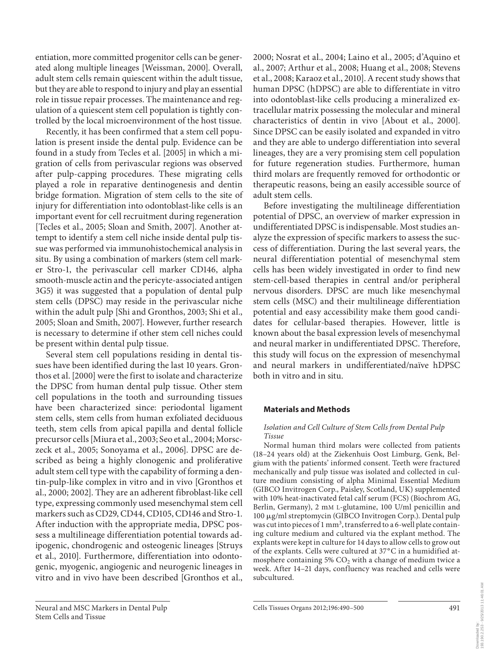entiation, more committed progenitor cells can be generated along multiple lineages [Weissman, 2000]. Overall, adult stem cells remain quiescent within the adult tissue, but they are able to respond to injury and play an essential role in tissue repair processes. The maintenance and regulation of a quiescent stem cell population is tightly controlled by the local microenvironment of the host tissue.

 Recently, it has been confirmed that a stem cell population is present inside the dental pulp. Evidence can be found in a study from Tecles et al. [2005] in which a migration of cells from perivascular regions was observed after pulp-capping procedures. These migrating cells played a role in reparative dentinogenesis and dentin bridge formation. Migration of stem cells to the site of injury for differentiation into odontoblast-like cells is an important event for cell recruitment during regeneration [Tecles et al., 2005; Sloan and Smith, 2007]. Another attempt to identify a stem cell niche inside dental pulp tissue was performed via immunohistochemical analysis in situ. By using a combination of markers (stem cell marker Stro-1, the perivascular cell marker CD146, alpha smooth-muscle actin and the pericyte-associated antigen 3G5) it was suggested that a population of dental pulp stem cells (DPSC) may reside in the perivascular niche within the adult pulp [Shi and Gronthos, 2003; Shi et al., 2005; Sloan and Smith, 2007]. However, further research is necessary to determine if other stem cell niches could be present within dental pulp tissue.

 Several stem cell populations residing in dental tissues have been identified during the last 10 years. Gronthos et al. [2000] were the first to isolate and characterize the DPSC from human dental pulp tissue. Other stem cell populations in the tooth and surrounding tissues have been characterized since: periodontal ligament stem cells, stem cells from human exfoliated deciduous teeth, stem cells from apical papilla and dental follicle precursor cells [Miura et al., 2003; Seo et al., 2004; Morsczeck et al., 2005; Sonoyama et al., 2006]. DPSC are described as being a highly clonogenic and proliferative adult stem cell type with the capability of forming a dentin-pulp-like complex in vitro and in vivo [Gronthos et al., 2000; 2002]. They are an adherent fibroblast-like cell type, expressing commonly used mesenchymal stem cell markers such as CD29, CD44, CD105, CD146 and Stro-1. After induction with the appropriate media, DPSC possess a multilineage differentiation potential towards adipogenic, chondrogenic and osteogenic lineages [Struys et al., 2010]. Furthermore, differentiation into odontogenic, myogenic, angiogenic and neurogenic lineages in vitro and in vivo have been described [Gronthos et al.,

2000; Nosrat et al., 2004; Laino et al., 2005; d'Aquino et al., 2007; Arthur et al., 2008; Huang et al., 2008; Stevens et al., 2008; Karaoz et al., 2010]. A recent study shows that human DPSC (hDPSC) are able to differentiate in vitro into odontoblast-like cells producing a mineralized extracellular matrix possessing the molecular and mineral characteristics of dentin in vivo [About et al., 2000]. Since DPSC can be easily isolated and expanded in vitro and they are able to undergo differentiation into several lineages, they are a very promising stem cell population for future regeneration studies. Furthermore, human third molars are frequently removed for orthodontic or therapeutic reasons, being an easily accessible source of adult stem cells.

 Before investigating the multilineage differentiation potential of DPSC, an overview of marker expression in undifferentiated DPSC is indispensable. Most studies analyze the expression of specific markers to assess the success of differentiation. During the last several years, the neural differentiation potential of mesenchymal stem cells has been widely investigated in order to find new stem-cell-based therapies in central and/or peripheral nervous disorders. DPSC are much like mesenchymal stem cells (MSC) and their multilineage differentiation potential and easy accessibility make them good candidates for cellular-based therapies. However, little is known about the basal expression levels of mesenchymal and neural marker in undifferentiated DPSC. Therefore, this study will focus on the expression of mesenchymal and neural markers in undifferentiated/naïve hDPSC both in vitro and in situ.

## **Materials and Methods**

#### *Isolation and Cell Culture of Stem Cells from Dental Pulp Tissue*

 Normal human third molars were collected from patients (18–24 years old) at the Ziekenhuis Oost Limburg, Genk, Belgium with the patients' informed consent. Teeth were fractured mechanically and pulp tissue was isolated and collected in culture medium consisting of alpha Minimal Essential Medium (GIBCO Invitrogen Corp., Paisley, Scotland, UK) supplemented with 10% heat-inactivated fetal calf serum (FCS) (Biochrom AG, Berlin, Germany), 2 mM L-glutamine, 100 U/ml penicillin and 100 μg/ml streptomycin (GIBCO Invitrogen Corp.). Dental pulp was cut into pieces of 1 mm<sup>3</sup>, transferred to a 6-well plate containing culture medium and cultured via the explant method. The explants were kept in culture for 14 days to allow cells to grow out of the explants. Cells were cultured at 37 ° C in a humidified atmosphere containing 5%  $CO<sub>2</sub>$  with a change of medium twice a week. After 14–21 days, confluency was reached and cells were subcultured.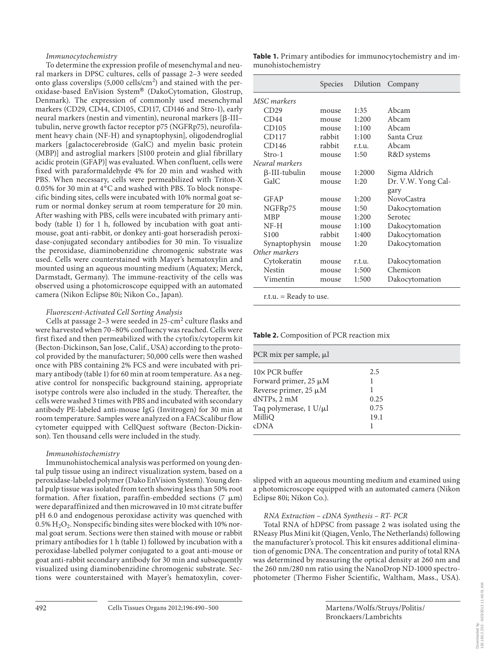#### *Immunocytochemistry*

 To determine the expression profile of mesenchymal and neural markers in DPSC cultures, cells of passage 2–3 were seeded onto glass coverslips  $(5,000 \text{ cells/cm}^2)$  and stained with the peroxidase-based EnVision System® (DakoCytomation, Glostrup, Denmark). The expression of commonly used mesenchymal markers (CD29, CD44, CD105, CD117, CD146 and Stro-1), early neural markers (nestin and vimentin), neuronal markers  $[\beta$ -III– tubulin, nerve growth factor receptor p75 (NGFRp75), neurofilament heavy chain (NF-H) and synaptophysin], oligodendroglial markers [galactocerebroside (GalC) and myelin basic protein (MBP)] and astroglial markers [S100 protein and glial fibrillary acidic protein (GFAP)] was evaluated. When confluent, cells were fixed with paraformaldehyde 4% for 20 min and washed with PBS. When necessary, cells were permeabilized with Triton-X 0.05% for 30 min at 4° C and washed with PBS. To block nonspecific binding sites, cells were incubated with 10% normal goat serum or normal donkey serum at room temperature for 20 min. After washing with PBS, cells were incubated with primary antibody (table 1) for 1 h, followed by incubation with goat antimouse, goat anti-rabbit, or donkey anti-goat horseradish peroxidase-conjugated secondary antibodies for 30 min. To visualize the peroxidase, diaminobenzidine chromogenic substrate was used. Cells were counterstained with Mayer's hematoxylin and mounted using an aqueous mounting medium (Aquatex; Merck, Darmstadt, Germany). The immune-reactivity of the cells was observed using a photomicroscope equipped with an automated camera (Nikon Eclipse 80i; Nikon Co., Japan).

#### *Fluorescent-Activated Cell Sorting Analysis*

Cells at passage 2-3 were seeded in  $25$ -cm<sup>2</sup> culture flasks and were harvested when 70–80% confluency was reached. Cells were first fixed and then permeabilized with the cytofix/cytoperm kit (Becton-Dickinson, San Jose, Calif., USA) according to the protocol provided by the manufacturer; 50,000 cells were then washed once with PBS containing 2% FCS and were incubated with primary antibody (table 1) for 60 min at room temperature. As a negative control for nonspecific background staining, appropriate isotype controls were also included in the study. Thereafter, the cells were washed 3 times with PBS and incubated with secondary antibody PE-labeled anti-mouse IgG (Invitrogen) for 30 min at room temperature. Samples were analyzed on a FACScalibur flow cytometer equipped with CellQuest software (Becton-Dickinson). Ten thousand cells were included in the study.

#### *Immunohistochemistry*

 Immunohistochemical analysis was performed on young dental pulp tissue using an indirect visualization system, based on a peroxidase-labeled polymer (Dako EnVision System). Young dental pulp tissue was isolated from teeth showing less than 50% root formation. After fixation, paraffin-embedded sections  $(7 \mu m)$ were deparaffinized and then microwaved in 10 mM citrate buffer pH 6.0 and endogenous peroxidase activity was quenched with  $0.5\%$   $\mathrm{H}_2\mathrm{O}_2$ . Nonspecific binding sites were blocked with 10% normal goat serum. Sections were then stained with mouse or rabbit primary antibodies for 1 h (table 1) followed by incubation with a peroxidase-labelled polymer conjugated to a goat anti-mouse or goat anti-rabbit secondary antibody for 30 min and subsequently visualized using diaminobenzidine chromogenic substrate. Sections were counterstained with Mayer's hematoxylin, cover-

**Table 1.** Primary antibodies for immunocytochemistry and immunohistochemistry

|                  | Species | Dilution | Company            |
|------------------|---------|----------|--------------------|
| MSC markers      |         |          |                    |
| CD29             | mouse   | 1:35     | Abcam              |
| CD44             | mouse   | 1:200    | Abcam              |
| CD105            | mouse   | 1:100    | Abcam              |
| CD117            | rabbit  | 1:100    | Santa Cruz         |
| CD146            | rabbit  | r.t.u.   | Abcam              |
| Stro-1           | mouse   | 1:50     | R&D systems        |
| Neural markers   |         |          |                    |
| β-III-tubulin    | mouse   | 1:2000   | Sigma Aldrich      |
| GalC             | mouse   | 1:20     | Dr. V.W. Yong Cal- |
|                  |         |          | gary               |
| GFAP             | mouse   | 1:200    | NovoCastra         |
| NGFRp75          | mouse   | 1:50     | Dakocytomation     |
| <b>MBP</b>       | mouse   | 1:200    | Serotec            |
| $NF-H$           | mouse   | 1:100    | Dakocytomation     |
| S <sub>100</sub> | rabbit  | 1:400    | Dakocytomation     |
| Synaptophysin    | mouse   | 1:20     | Dakocytomation     |
| Other markers    |         |          |                    |
| Cytokeratin      | mouse   | r.t.u.   | Dakocytomation     |
| Nestin           | mouse   | 1:500    | Chemicon           |
| Vimentin         | mouse   | 1:500    | Dakocytomation     |

**Table 2.** Composition of PCR reaction mix

| PCR mix per sample, $\mu$ l |      |  |
|-----------------------------|------|--|
| $10\times$ PCR buffer       | 2.5  |  |
| Forward primer, $25 \mu M$  |      |  |
| Reverse primer, 25 µM       |      |  |
| $dNTPs$ , $2 mM$            | 0.25 |  |
| Taq polymerase, $1 U/\mu l$ | 0.75 |  |
| MilliO                      | 19.1 |  |
| cDNA                        |      |  |
|                             |      |  |

slipped with an aqueous mounting medium and examined using a photomicroscope equipped with an automated camera (Nikon Eclipse 80i; Nikon Co.).

#### *RNA Extraction – cDNA Synthesis – RT- PCR*

 Total RNA of hDPSC from passage 2 was isolated using the RNeasy Plus Mini kit (Qiagen, Venlo, The Netherlands) following the manufacturer's protocol. This kit ensures additional elimination of genomic DNA. The concentration and purity of total RNA was determined by measuring the optical density at 260 nm and the 260 nm/280 nm ratio using the NanoDrop ND-1000 spectrophotometer (Thermo Fisher Scientific, Waltham, Mass., USA).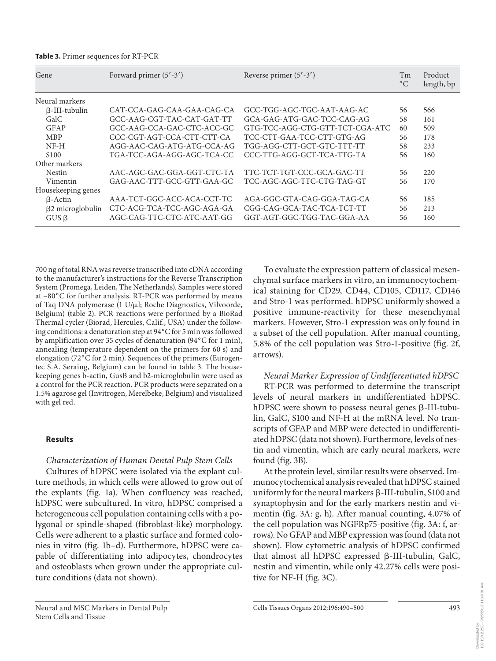| Gene                 | Forward primer (5'-3')     | Reverse primer $(5' - 3')$      | Tm<br>$\rm ^{\circ}C$ | Product<br>length, bp |
|----------------------|----------------------------|---------------------------------|-----------------------|-----------------------|
| Neural markers       |                            |                                 |                       |                       |
| <b>B-III-tubulin</b> | CAT-CCA-GAG-CAA-GAA-CAG-CA | GCC-TGG-AGC-TGC-AAT-AAG-AC      | 56                    | 566                   |
| GalC                 | GCC-AAG-CGT-TAC-CAT-GAT-TT | GCA-GAG-ATG-GAC-TCC-CAG-AG      | 58                    | 161                   |
| GFAP                 | GCC-AAG-CCA-GAC-CTC-ACC-GC | GTG-TCC-AGG-CTG-GTT-TCT-CGA-ATC | 60                    | 509                   |
| <b>MBP</b>           | CCC-CGT-AGT-CCA-CTT-CTT-CA | TCC-CTT-GAA-TCC-CTT-GTG-AG      | 56                    | 178                   |
| $NF-H$               | AGG-AAC-CAG-ATG-ATG-CCA-AG | TGG-AGG-CTT-GCT-GTC-TTT-TT      | 58                    | 233                   |
| S <sub>100</sub>     | TGA-TCC-AGA-AGG-AGC-TCA-CC | CCC-TTG-AGG-GCT-TCA-TTG-TA      | 56                    | 160                   |
| Other markers        |                            |                                 |                       |                       |
| Nestin               | AAC-AGC-GAC-GGA-GGT-CTC-TA | TTC-TCT-TGT-CCC-GCA-GAC-TT      | 56                    | 220                   |
| Vimentin             | GAG-AAC-TTT-GCC-GTT-GAA-GC | TCC-AGC-AGC-TTC-CTG-TAG-GT      | 56                    | 170                   |
| Housekeeping genes   |                            |                                 |                       |                       |
| $\beta$ -Actin       | AAA-TCT-GGC-ACC-ACA-CCT-TC | AGA-GGC-GTA-CAG-GGA-TAG-CA      | 56                    | 185                   |
| β2 microglobulin     | CTC-ACG-TCA-TCC-AGC-AGA-GA | CGG-CAG-GCA-TAC-TCA-TCT-TT      | 56                    | 213                   |
| $GUS \beta$          | AGC-CAG-TTC-CTC-ATC-AAT-GG | GGT-AGT-GGC-TGG-TAC-GGA-AA      | 56                    | 160                   |

700 ng of total RNA was reverse transcribed into cDNA according to the manufacturer's instructions for the Reverse Transcription System (Promega, Leiden, The Netherlands). Samples were stored at -80°C for further analysis. RT-PCR was performed by means of Taq DNA polymerase (1 U/µl; Roche Diagnostics, Vilvoorde, Belgium) (table 2). PCR reactions were performed by a BioRad Thermal cycler (Biorad, Hercules, Calif., USA) under the following conditions: a denaturation step at 94°C for 5 min was followed by amplification over 35 cycles of denaturation (94°C for 1 min), annealing (temperature dependent on the primers for 60 s) and elongation (72°C for 2 min). Sequences of the primers (Eurogentec S.A. Seraing, Belgium) can be found in table 3. The housekeeping genes b-actin, GusB and b2-microglobulin were used as a control for the PCR reaction. PCR products were separated on a 1.5% agarose gel (Invitrogen, Merelbeke, Belgium) and visualized with gel red.

## **Results**

## *Characterization of Human Dental Pulp Stem Cells*

 Cultures of hDPSC were isolated via the explant culture methods, in which cells were allowed to grow out of the explants (fig. 1a). When confluency was reached, hDPSC were subcultured. In vitro, hDPSC comprised a heterogeneous cell population containing cells with a polygonal or spindle-shaped (fibroblast-like) morphology. Cells were adherent to a plastic surface and formed colonies in vitro (fig. 1b-d). Furthermore, hDPSC were capable of differentiating into adipocytes, chondrocytes and osteoblasts when grown under the appropriate culture conditions (data not shown).

 To evaluate the expression pattern of classical mesenchymal surface markers in vitro, an immunocytochemical staining for CD29, CD44, CD105, CD117, CD146 and Stro-1 was performed. hDPSC uniformly showed a positive immune-reactivity for these mesenchymal markers. However, Stro-1 expression was only found in a subset of the cell population. After manual counting, 5.8% of the cell population was Stro-1-positive (fig. 2f, arrows).

 *Neural Marker Expression of Undifferentiated hDPSC*  RT-PCR was performed to determine the transcript levels of neural markers in undifferentiated hDPSC. hDPSC were shown to possess neural genes  $\beta$ -III-tubulin, GalC, S100 and NF-H at the mRNA level. No transcripts of GFAP and MBP were detected in undifferentiated hDPSC (data not shown). Furthermore, levels of nestin and vimentin, which are early neural markers, were found ( $fig. 3B$ ).

 At the protein level, similar results were observed. Immunocytochemical analysis revealed that hDPSC stained uniformly for the neural markers  $\beta$ -III-tubulin, S100 and synaptophysin and for the early markers nestin and vimentin (fig. 3A: g, h). After manual counting, 4.07% of the cell population was NGFRp75-positive (fig. 3A: f, arrows). No GFAP and MBP expression was found (data not shown). Flow cytometric analysis of hDPSC confirmed that almost all hDPSC expressed  $\beta$ -III-tubulin, GalC, nestin and vimentin, while only 42.27% cells were positive for NF-H ( $fig. 3C$ ).

Downloaded by:

Downloaded by:<br>193.190.2.253 - 9/25/2013 11:46:01 AM 193.190.2.253 - 9/25/2013 11:46:01 AM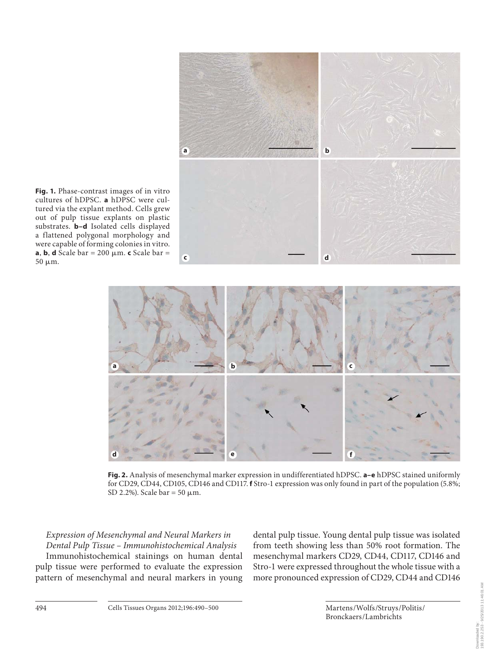

**Fig. 1.** Phase-contrast images of in vitro cultures of hDPSC. **a** hDPSC were cultured via the explant method. Cells grew out of pulp tissue explants on plastic substrates. **b–d** Isolated cells displayed a flattened polygonal morphology and were capable of forming colonies in vitro. **a**, **b**, **d** Scale bar = 200  $\mu$ m. **c** Scale bar =  $50 \mu m$ .



**Fig. 2.** Analysis of mesenchymal marker expression in undifferentiated hDPSC. **a–e** hDPSC stained uniformly for CD29, CD44, CD105, CD146 and CD117. **f** Stro-1 expression was only found in part of the population (5.8%; SD 2.2%). Scale bar = 50  $\mu$ m.

# *Expression of Mesenchymal and Neural Markers in*

*Dental Pulp Tissue – Immunohistochemical Analysis*  Immunohistochemical stainings on human dental pulp tissue were performed to evaluate the expression pattern of mesenchymal and neural markers in young dental pulp tissue. Young dental pulp tissue was isolated from teeth showing less than 50% root formation. The mesenchymal markers CD29, CD44, CD117, CD146 and Stro-1 were expressed throughout the whole tissue with a more pronounced expression of CD29, CD44 and CD146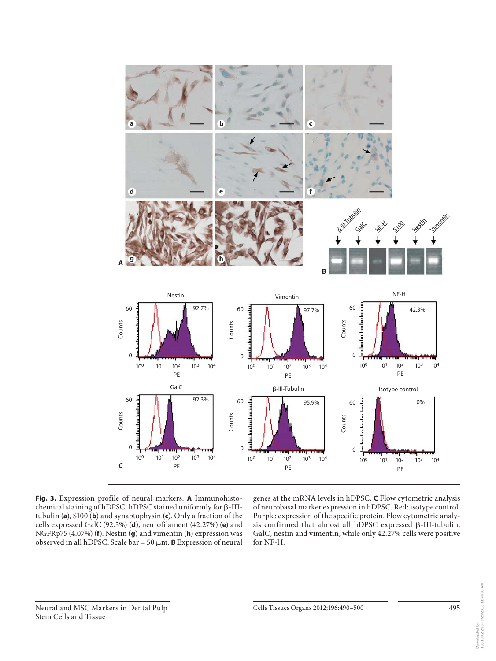

**Fig. 3.** Expression profile of neural markers. **A** Immunohisto $chemical$  staining of hDPSC. hDPSC stained uniformly for  $\beta$ -IIItubulin (a), S100 (b) and synaptophysin (c). Only a fraction of the cells expressed GalC (92.3%) (d), neurofilament (42.27%) (e) and NGFRp75 (4.07%) (**f**). Nestin (**g**) and vimentin (**h**) expression was observed in all hDPSC. Scale bar =  $50 \mu m$ . **B** Expression of neural

genes at the mRNA levels in hDPSC. **C** Flow cytometric analysis of neurobasal marker expression in hDPSC. Red: isotype control. Purple: expression of the specific protein. Flow cytometric analy $s$ is confirmed that almost all hDPSC expressed  $\beta$ -III-tubulin, GalC, nestin and vimentin, while only 42.27% cells were positive for NF-H.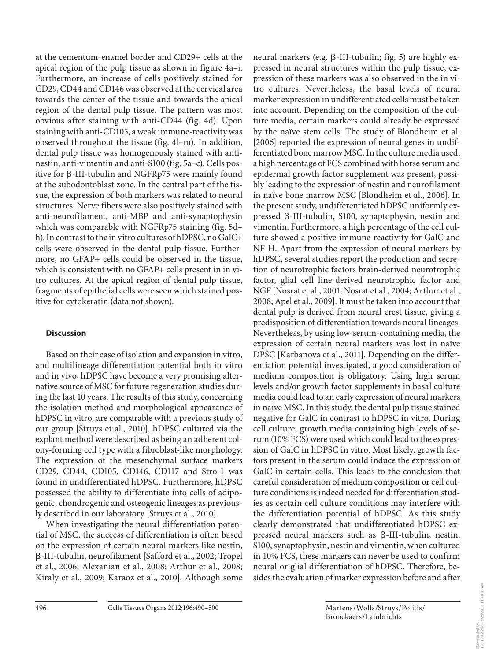at the cementum-enamel border and CD29+ cells at the apical region of the pulp tissue as shown in figure 4a-i. Furthermore, an increase of cells positively stained for CD29, CD44 and CD146 was observed at the cervical area towards the center of the tissue and towards the apical region of the dental pulp tissue. The pattern was most obvious after staining with anti-CD44 (fig. 4d). Upon staining with anti-CD105, a weak immune-reactivity was observed throughout the tissue (fig. 4l-m). In addition, dental pulp tissue was homogenously stained with antinestin, anti-vimentin and anti-S100 (fig. 5a-c). Cells positive for  $\beta$ -III-tubulin and NGFRp75 were mainly found at the subodontoblast zone. In the central part of the tissue, the expression of both markers was related to neural structures. Nerve fibers were also positively stained with anti-neurofilament, anti-MBP and anti-synaptophysin which was comparable with NGFRp75 staining (fig. 5dh). In contrast to the in vitro cultures of hDPSC, no GalC+ cells were observed in the dental pulp tissue. Furthermore, no GFAP+ cells could be observed in the tissue, which is consistent with no GFAP+ cells present in in vitro cultures. At the apical region of dental pulp tissue, fragments of epithelial cells were seen which stained positive for cytokeratin (data not shown).

# **Discussion**

 Based on their ease of isolation and expansion in vitro, and multilineage differentiation potential both in vitro and in vivo, hDPSC have become a very promising alternative source of MSC for future regeneration studies during the last 10 years. The results of this study, concerning the isolation method and morphological appearance of hDPSC in vitro, are comparable with a previous study of our group [Struys et al., 2010]. hDPSC cultured via the explant method were described as being an adherent colony-forming cell type with a fibroblast-like morphology. The expression of the mesenchymal surface markers CD29, CD44, CD105, CD146, CD117 and Stro-1 was found in undifferentiated hDPSC. Furthermore, hDPSC possessed the ability to differentiate into cells of adipogenic, chondrogenic and osteogenic lineages as previously described in our laboratory [Struys et al., 2010].

 When investigating the neural differentiation potential of MSC, the success of differentiation is often based on the expression of certain neural markers like nestin, - -III-tubulin, neurofilament [Safford et al., 2002; Tropel et al., 2006; Alexanian et al., 2008; Arthur et al., 2008; Kiraly et al., 2009; Karaoz et al., 2010]. Although some

neural markers (e.g. β-III-tubulin; fig. 5) are highly expressed in neural structures within the pulp tissue, expression of these markers was also observed in the in vitro cultures. Nevertheless, the basal levels of neural marker expression in undifferentiated cells must be taken into account. Depending on the composition of the culture media, certain markers could already be expressed by the naïve stem cells. The study of Blondheim et al. [2006] reported the expression of neural genes in undifferentiated bone marrow MSC. In the culture media used, a high percentage of FCS combined with horse serum and epidermal growth factor supplement was present, possibly leading to the expression of nestin and neurofilament in naïve bone marrow MSC [Blondheim et al., 2006]. In the present study, undifferentiated hDPSC uniformly expressed  $\beta$ -III-tubulin, S100, synaptophysin, nestin and vimentin. Furthermore, a high percentage of the cell culture showed a positive immune-reactivity for GalC and NF-H. Apart from the expression of neural markers by hDPSC, several studies report the production and secretion of neurotrophic factors brain-derived neurotrophic factor, glial cell line-derived neurotrophic factor and NGF [Nosrat et al., 2001; Nosrat et al., 2004; Arthur et al., 2008; Apel et al., 2009]. It must be taken into account that dental pulp is derived from neural crest tissue, giving a predisposition of differentiation towards neural lineages. Nevertheless, by using low-serum-containing media, the expression of certain neural markers was lost in naïve DPSC [Karbanova et al., 2011]. Depending on the differentiation potential investigated, a good consideration of medium composition is obligatory. Using high serum levels and/or growth factor supplements in basal culture media could lead to an early expression of neural markers in naïve MSC. In this study, the dental pulp tissue stained negative for GalC in contrast to hDPSC in vitro. During cell culture, growth media containing high levels of serum (10% FCS) were used which could lead to the expression of GalC in hDPSC in vitro. Most likely, growth factors present in the serum could induce the expression of GalC in certain cells. This leads to the conclusion that careful consideration of medium composition or cell culture conditions is indeed needed for differentiation studies as certain cell culture conditions may interfere with the differentiation potential of hDPSC. As this study clearly demonstrated that undifferentiated hDPSC expressed neural markers such as  $\beta$ -III-tubulin, nestin, S100, synaptophysin, nestin and vimentin, when cultured in 10% FCS, these markers can never be used to confirm neural or glial differentiation of hDPSC. Therefore, besides the evaluation of marker expression before and after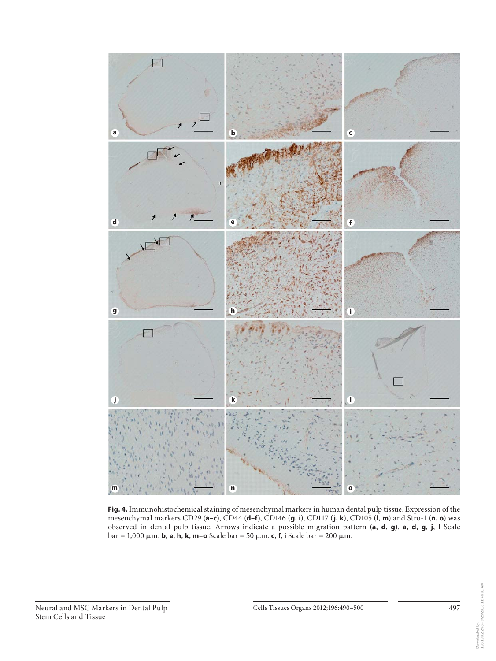

**Fig. 4.** Immunohistochemical staining of mesenchymal markers in human dental pulp tissue. Expression of the mesenchymal markers CD29 ( **a–c** ), CD44 ( **d–f** ), CD146 ( **g** , **i** ), CD117 ( **j** , **k** ), CD105 ( **l** , **m** ) and Stro-1 ( **n** , **o** ) was observed in dental pulp tissue. Arrows indicate a possible migration pattern ( **a** , **d** , **g** ). **a** , **d** , **g** , **j** , **l** Scale  $bar = 1,000 \mu m$ . **b**, **e**, **h**, **k**, **m-o** Scale bar = 50  $\mu$ m. **c**, **f**, **i** Scale bar = 200  $\mu$ m.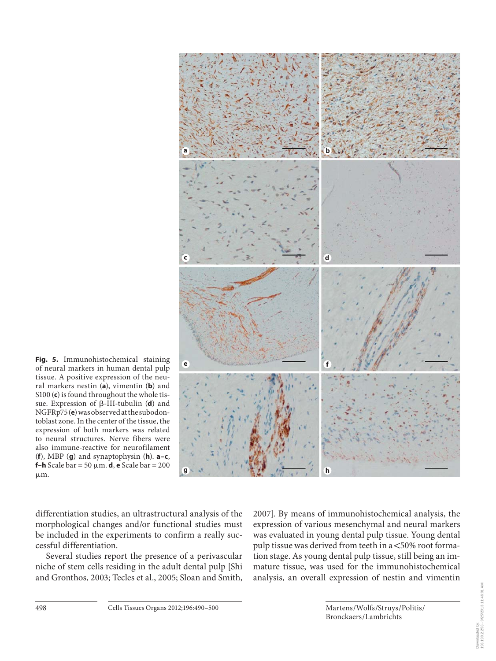

**Fig. 5.** Immunohistochemical staining of neural markers in human dental pulp tissue. A positive expression of the neural markers nestin (a), vimentin (b) and S100 (c) is found throughout the whole tissue. Expression of  $\beta$ -III-tubulin (d) and NGFRp75 (e) was observed at the subodontoblast zone. In the center of the tissue, the expression of both markers was related to neural structures. Nerve fibers were also immune-reactive for neurofilament (f), MBP (g) and synaptophysin (h). **a-c**, **f–h** Scale bar = 50  $\mu$ m. **d**, **e** Scale bar = 200  $\mu$ m.

differentiation studies, an ultrastructural analysis of the morphological changes and/or functional studies must be included in the experiments to confirm a really successful differentiation.

 Several studies report the presence of a perivascular niche of stem cells residing in the adult dental pulp [Shi and Gronthos, 2003; Tecles et al., 2005; Sloan and Smith, 2007]. By means of immunohistochemical analysis, the expression of various mesenchymal and neural markers was evaluated in young dental pulp tissue. Young dental pulp tissue was derived from teeth in a  $<$  50% root formation stage. As young dental pulp tissue, still being an immature tissue, was used for the immunohistochemical analysis, an overall expression of nestin and vimentin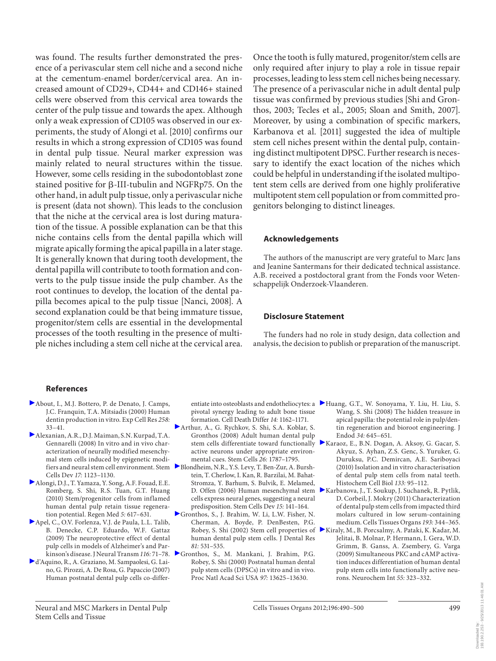was found. The results further demonstrated the presence of a perivascular stem cell niche and a second niche at the cementum-enamel border/cervical area. An increased amount of CD29+, CD44+ and CD146+ stained cells were observed from this cervical area towards the center of the pulp tissue and towards the apex. Although only a weak expression of CD105 was observed in our experiments, the study of Alongi et al. [2010] confirms our results in which a strong expression of CD105 was found in dental pulp tissue. Neural marker expression was mainly related to neural structures within the tissue. However, some cells residing in the subodontoblast zone stained positive for  $\beta$ -III-tubulin and NGFRp75. On the other hand, in adult pulp tissue, only a perivascular niche is present (data not shown). This leads to the conclusion that the niche at the cervical area is lost during maturation of the tissue. A possible explanation can be that this niche contains cells from the dental papilla which will migrate apically forming the apical papilla in a later stage. It is generally known that during tooth development, the dental papilla will contribute to tooth formation and converts to the pulp tissue inside the pulp chamber. As the root continues to develop, the location of the dental papilla becomes apical to the pulp tissue [Nanci, 2008]. A second explanation could be that being immature tissue, progenitor/stem cells are essential in the developmental processes of the tooth resulting in the presence of multiple niches including a stem cell niche at the cervical area. Once the tooth is fully matured, progenitor/stem cells are only required after injury to play a role in tissue repair processes, leading to less stem cell niches being necessary. The presence of a perivascular niche in adult dental pulp tissue was confirmed by previous studies [Shi and Gronthos, 2003; Tecles et al., 2005; Sloan and Smith, 2007]. Moreover, by using a combination of specific markers, Karbanova et al. [2011] suggested the idea of multiple stem cell niches present within the dental pulp, containing distinct multipotent DPSC. Further research is necessary to identify the exact location of the niches which could be helpful in understanding if the isolated multipotent stem cells are derived from one highly proliferative multipotent stem cell population or from committed progenitors belonging to distinct lineages.

### **Acknowledgements**

 The authors of the manuscript are very grateful to Marc Jans and Jeanine Santermans for their dedicated technical assistance. A.B. received a postdoctoral grant from the Fonds voor Wetenschappelijk Onderzoek-Vlaanderen.

#### **Disclosure Statement**

The funders had no role in study design, data collection and analysis, the decision to publish or preparation of the manuscript.

#### **References**

- About, I., M.J. Bottero, P. de Denato, J. Camps, J.C. Franquin, T.A. Mitsiadis (2000) Human dentin production in vitro. Exp Cell Res *258:* 33–41.
- Alexanian, A.R., D.J. Maiman, S.N. Kurpad, T.A. Gennarelli (2008) In vitro and in vivo characterization of neurally modified mesenchymal stem cells induced by epigenetic modi-Cells Dev *17:* 1123–1130.
- Alongi, D.J., T. Yamaza, Y. Song, A.F. Fouad, E.E. Romberg, S. Shi, R.S. Tuan, G.T. Huang (2010) Stem/progenitor cells from inflamed human dental pulp retain tissue regeneration potential. Regen Med *5:* 617–631.
- Apel, C., O.V. Forlenza, V.J. de Paula, L.L. Talib, B. Denecke, C.P. Eduardo, W.F. Gattaz (2009) The neuroprotective effect of dental pulp cells in models of Alzheimer's and Parkinson's disease. J Neural Transm *116:* 71–78.
- d'Aquino, R., A. Graziano, M. Sampaolesi, G. Laino, G. Pirozzi, A. De Rosa, G. Papaccio (2007) Human postnatal dental pulp cells co-differ-

entiate into osteoblasts and endotheliocytes: a Huang, G.T., W. Sonoyama, Y. Liu, H. Liu, S. pivotal synergy leading to adult bone tissue formation. Cell Death Differ *14:* 1162–1171.

- Arthur, A., G. Rychkov, S. Shi, S.A. Koblar, S. Gronthos (2008) Adult human dental pulp active neurons under appropriate environmental cues. Stem Cells *26:* 1787–1795.
- fiers and neural stem cell environment. Stem Blondheim, N.R., Y.S. Levy, T. Ben-Zur, A. Burshtein, T. Cherlow, I. Kan, R. Barzilai, M. Bahat-Stromza, Y. Barhum, S. Bulvik, E. Melamed, cells express neural genes, suggesting a neural predisposition. Stem Cells Dev *15:* 141–164.
	- Gronthos, S., J. Brahim, W. Li, L.W. Fisher, N. Cherman, A. Boyde, P. DenBesten, P.G. human dental pulp stem cells. J Dental Res *81:* 531–535.
	- Gronthos, S., M. Mankani, J. Brahim, P.G. Robey, S. Shi (2000) Postnatal human dental pulp stem cells (DPSCs) in vitro and in vivo. Proc Natl Acad Sci USA *97:* 13625–13630.
- Wang, S. Shi (2008) The hidden treasure in apical papilla: the potential role in pulp/dentin regeneration and bioroot engineering. J Endod *34:* 645–651.
- stem cells differentiate toward functionally Karaoz, E., B.N. Dogan, A. Aksoy, G. Gacar, S. Akyuz, S. Ayhan, Z.S. Genc, S. Yuruker, G. Duruksu, P.C. Demircan, A.E. Sariboyaci (2010) Isolation and in vitro characterisation of dental pulp stem cells from natal teeth. Histochem Cell Biol *133:* 95–112.
- D. Offen (2006) Human mesenchymal stem Karbanova, J., T. Soukup, J. Suchanek, R. Pytlik, D. Corbeil, J. Mokry (2011) Characterization of dental pulp stem cells from impacted third molars cultured in low serum-containing medium. Cells Tissues Organs *193:* 344–365.
- Robey, S. Shi (2002) Stem cell properties of Kiraly, M., B. Porcsalmy, A. Pataki, K. Kadar, M. Jelitai, B. Molnar, P. Hermann, I. Gera, W.D. Grimm, B. Ganss, A. Zsembery, G. Varga (2009) Simultaneous PKC and cAMP activation induces differentiation of human dental pulp stem cells into functionally active neurons. Neurochem Int *55:* 323–332.

 Neural and MSC Markers in Dental Pulp Stem Cells and Tissue

Downloaded by:

Downloaded by:<br>193.190.2.253 - 9/25/2013 11:46:01 AM 193.190.2.253 - 9/25/2013 11:46:01 AM